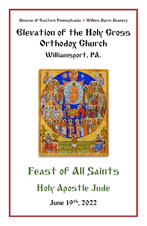Diocese of Eastern Pennsylvania **+** Wilkes-Barre Deanery

## Elevation of the Holy Cross Orthodox Church Williamsport, PA.



# Feast of All Saints Holy Apostle Jude June 19 th, 2022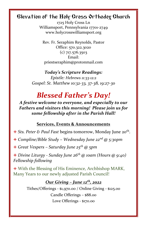### Elevation of the Holy Cross Orthodox Church

1725 Holy Cross Ln Williamsport, Pennsylvania 17701-2749 www.holycrosswilliamsport.org

Rev. Fr. Seraphim Reynolds, Pastor Office: 570.322.3020 (c) 717.576.3503 Email: priestseraphim@protonmail.com

#### *Today's Scripture Readings: Epistle: Hebrews 11:33-12:2*

*Gospel: St. Matthew 10:32-33, 37-38, 19:27-30*

### *Blessed Father's Day!*

*A festive welcome to everyone, and especially to our Fathers and visitors this morning! Please join us for some fellowship after in the Parish Hall!*

### **Services, Events & Announcements**

- + Sts. Peter & Paul Fast begins tomorrow, Monday June 20<sup>th</sup>.
- + *Compline/Bible Study – Wednesday June 22nd @ 5:30pm*

+ *Great Vespers – Saturday June 25th @ 5pm*

+ *Divine Liturgy - Sunday June 26th @ 10am (Hours @ 9:40) Fellowship following*

+ With the Blessing of His Eminence, Archbishop MARK, Many Years to our newly adjusted Parish Council!

### *Our Giving – June 12th , 2022*

Tithes/Offerings - \$1,970.00 / Online Giving - \$125.00 Candle Offerings – \$88.00 Love Offerings - \$170.00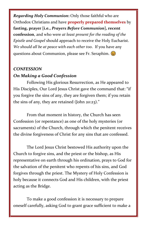*Regarding Holy Communion***:** Only those faithful who are Orthodox Christians and have **properly prepared themselves** by **fasting, prayer [i.e.,** *Prayers Before Communion***], recent confession**, and who were *at least present for the reading of the Epistle and Gospel* should approach to receive the Holy Eucharist. *We should all be at peace with each other too*. If you have any questions about Communion, please see Fr. Seraphim.

### *CONFESSION On Making a Good Confession*

Following His glorious Resurrection, as He appeared to His Disciples, Our Lord Jesus Christ gave the command that: "if you forgive the sins of any, they are forgiven them; if you retain the sins of any, they are retained (John 20:23)."

From that moment in history, the Church has seen Confession (or repentance) as one of the holy mysteries (or sacraments) of the Church, through which the penitent receives the divine forgiveness of Christ for any sins that are confessed.

The Lord Jesus Christ bestowed His authority upon the Church to forgive sins, and the priest or the bishop, as His representative on earth through his ordination, prays to God for the salvation of the penitent who repents of his sins, and God forgives through the priest. The Mystery of Holy Confession is holy because it connects God and His children, with the priest acting as the Bridge.

To make a good confession it is necessary to prepare oneself carefully, asking God to grant grace sufficient to make a